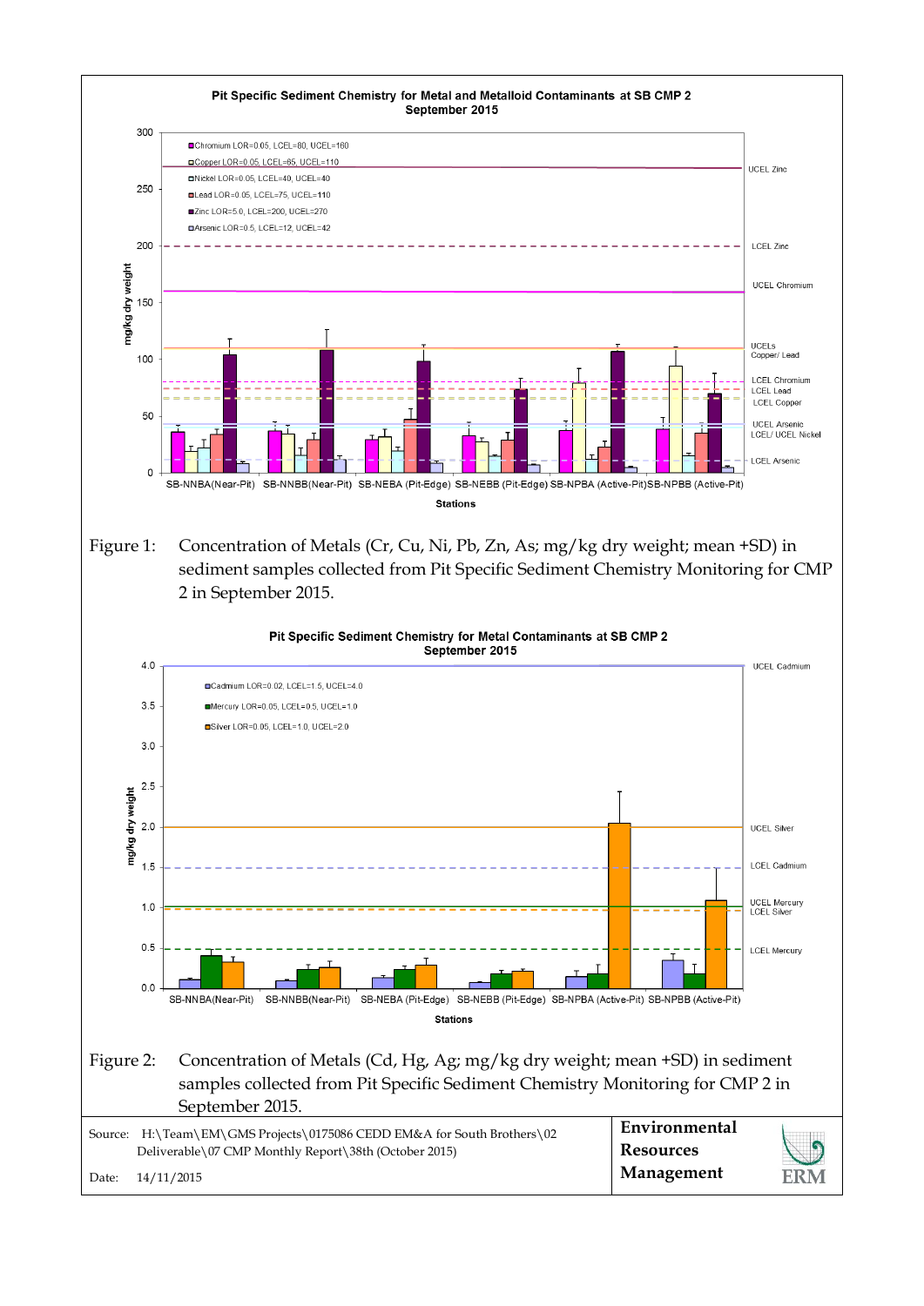

Figure 1: Concentration of Metals (Cr, Cu, Ni, Pb, Zn, As; mg/kg dry weight; mean +SD) in sediment samples collected from Pit Specific Sediment Chemistry Monitoring for CMP 2 in September 2015.

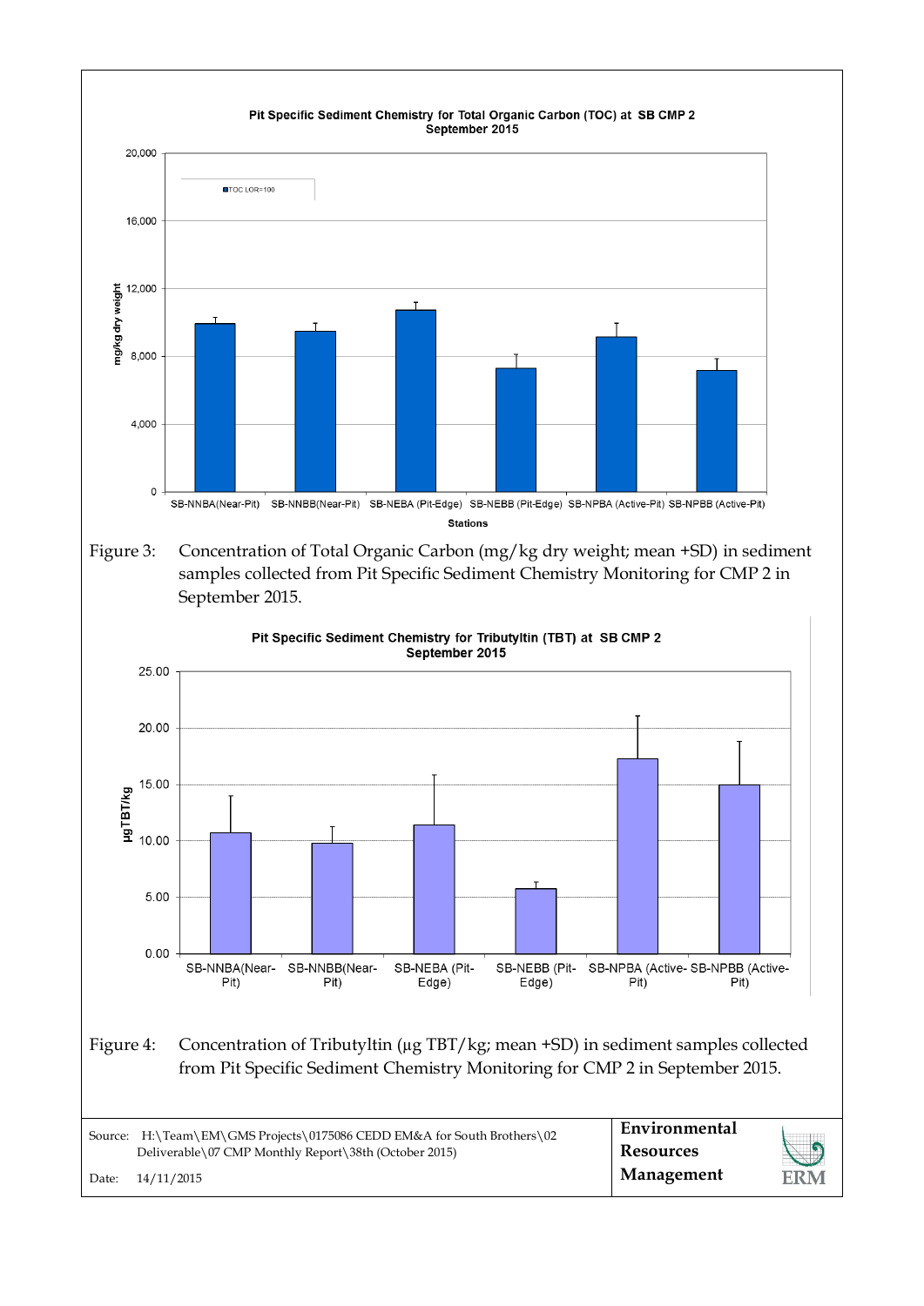

Figure 3: Concentration of Total Organic Carbon (mg/kg dry weight; mean +SD) in sediment samples collected from Pit Specific Sediment Chemistry Monitoring for CMP 2 in September 2015.

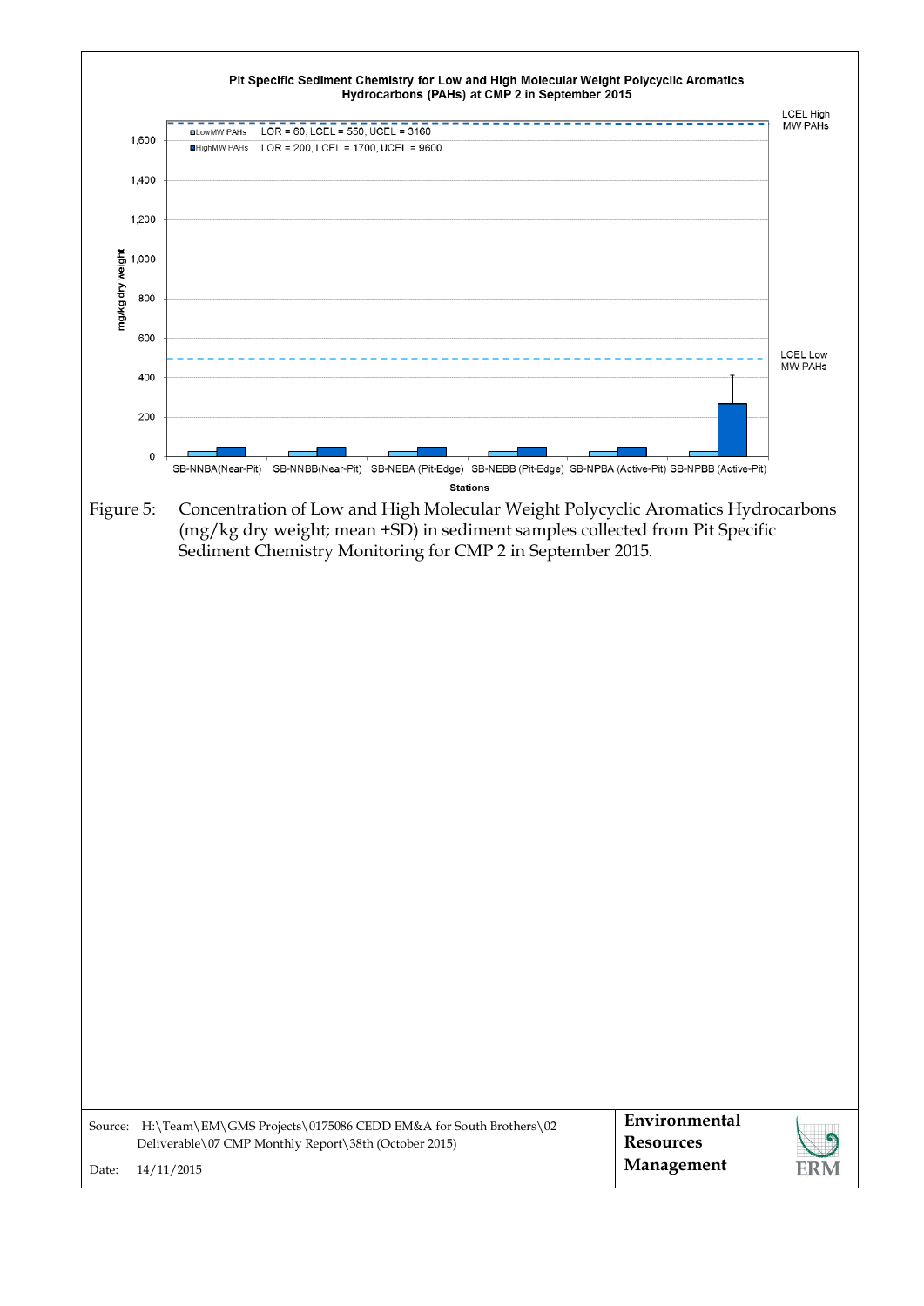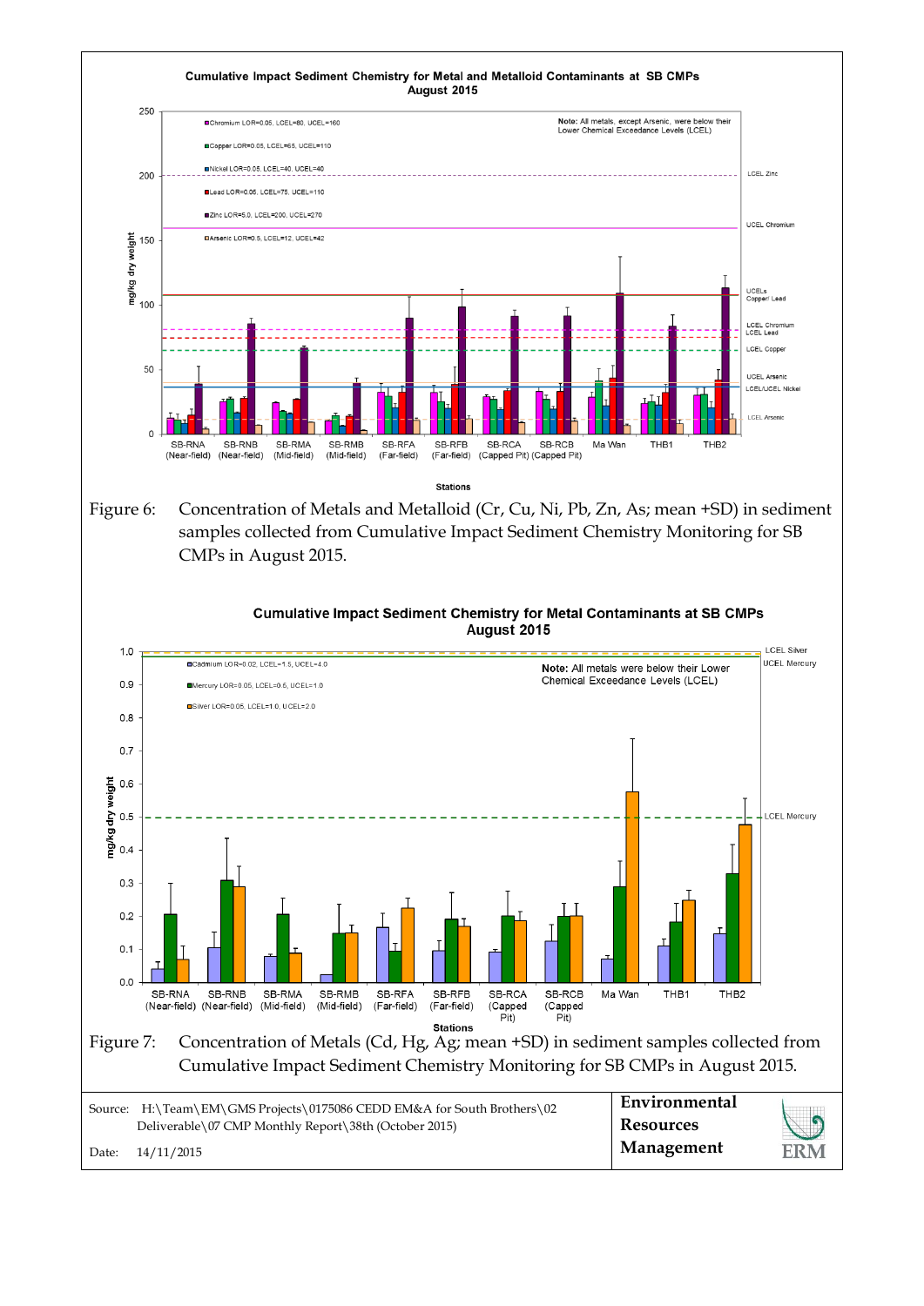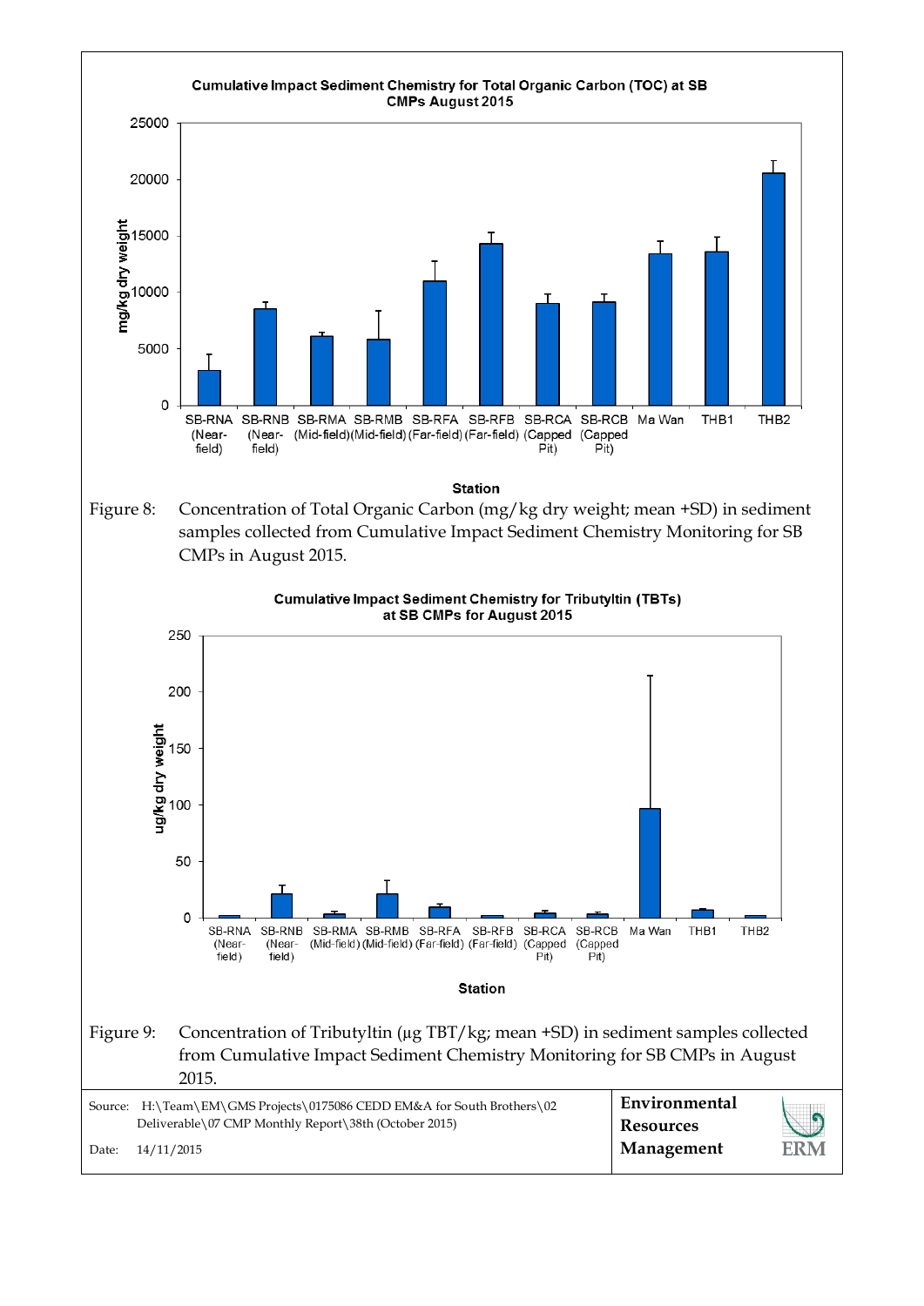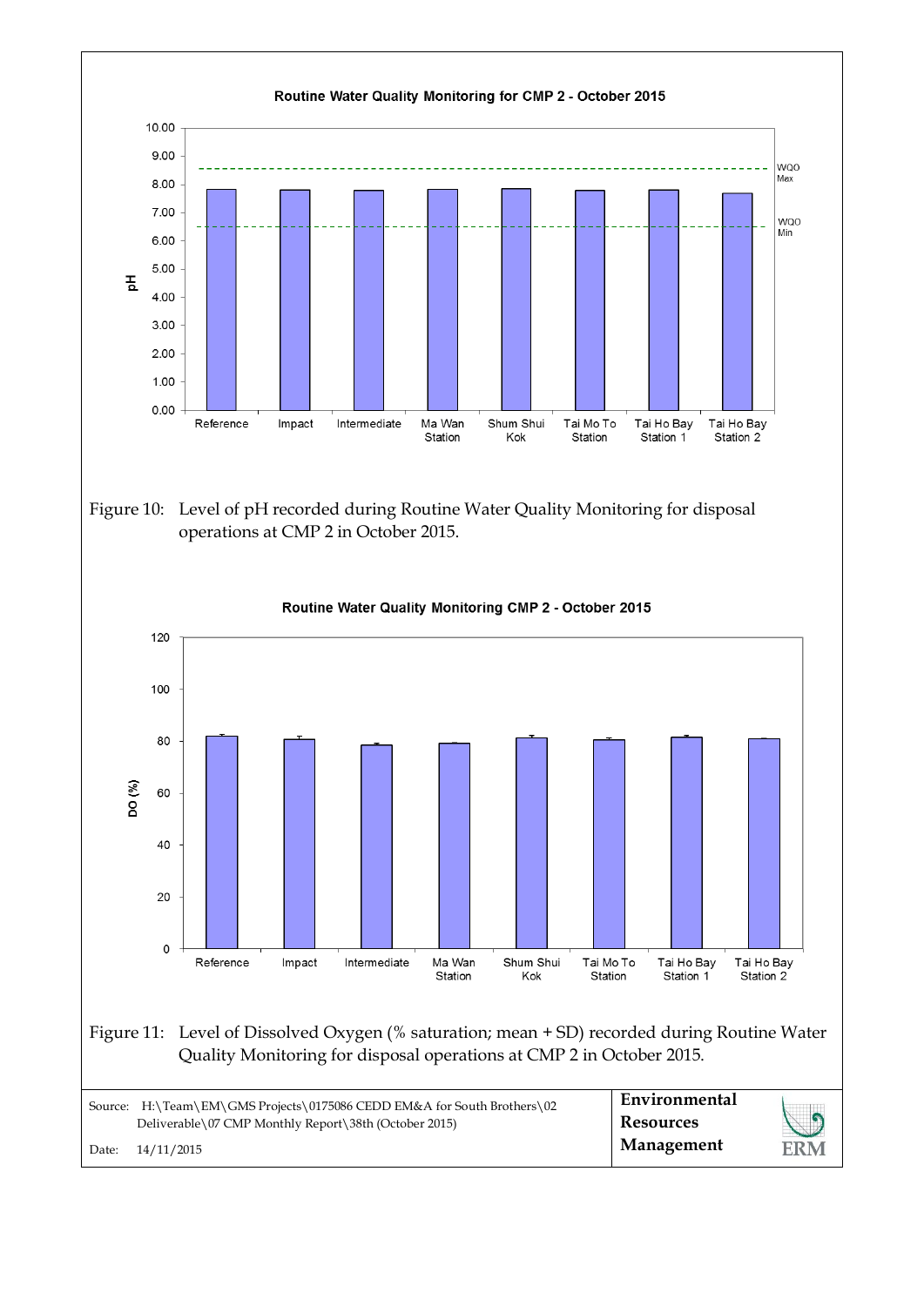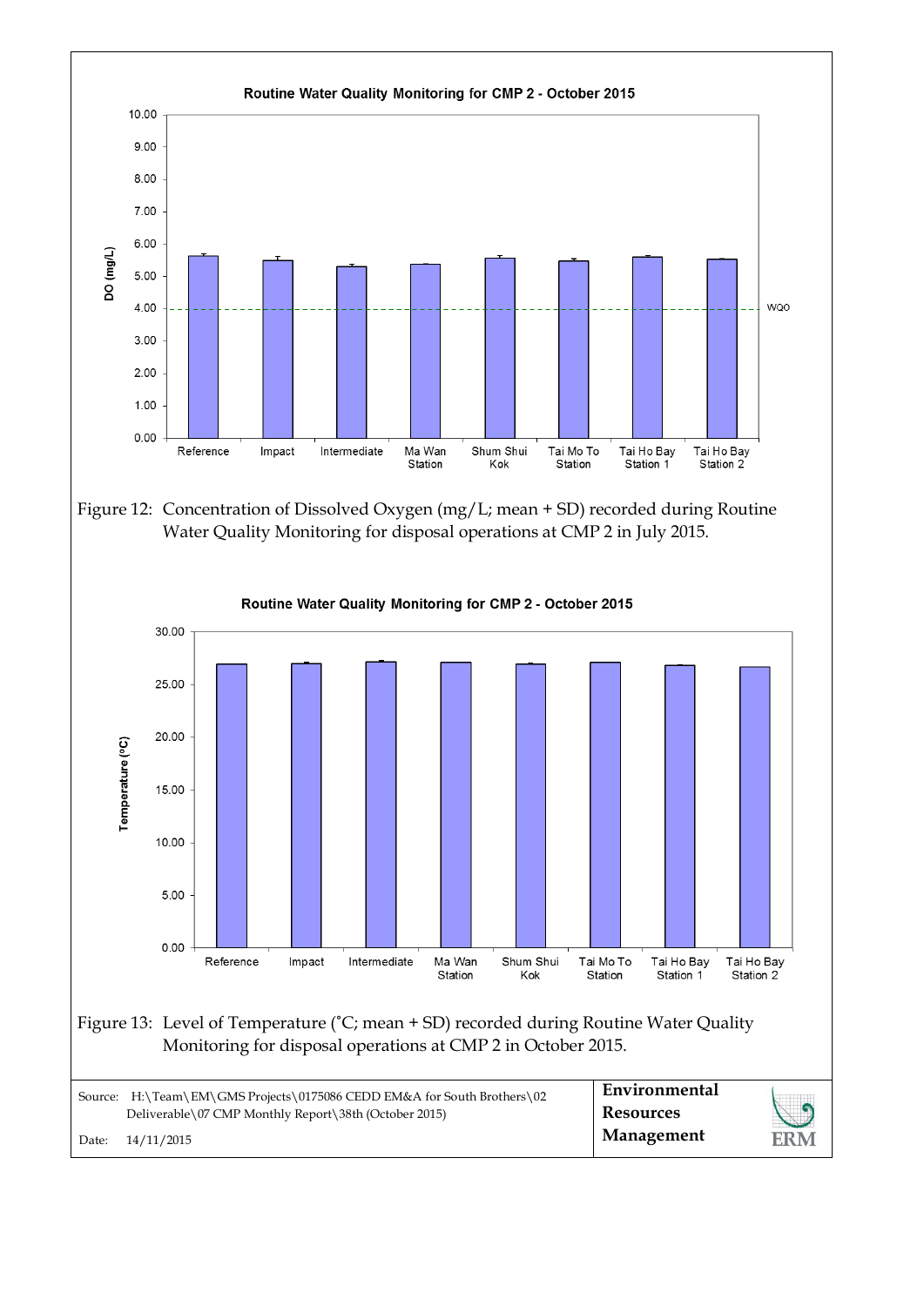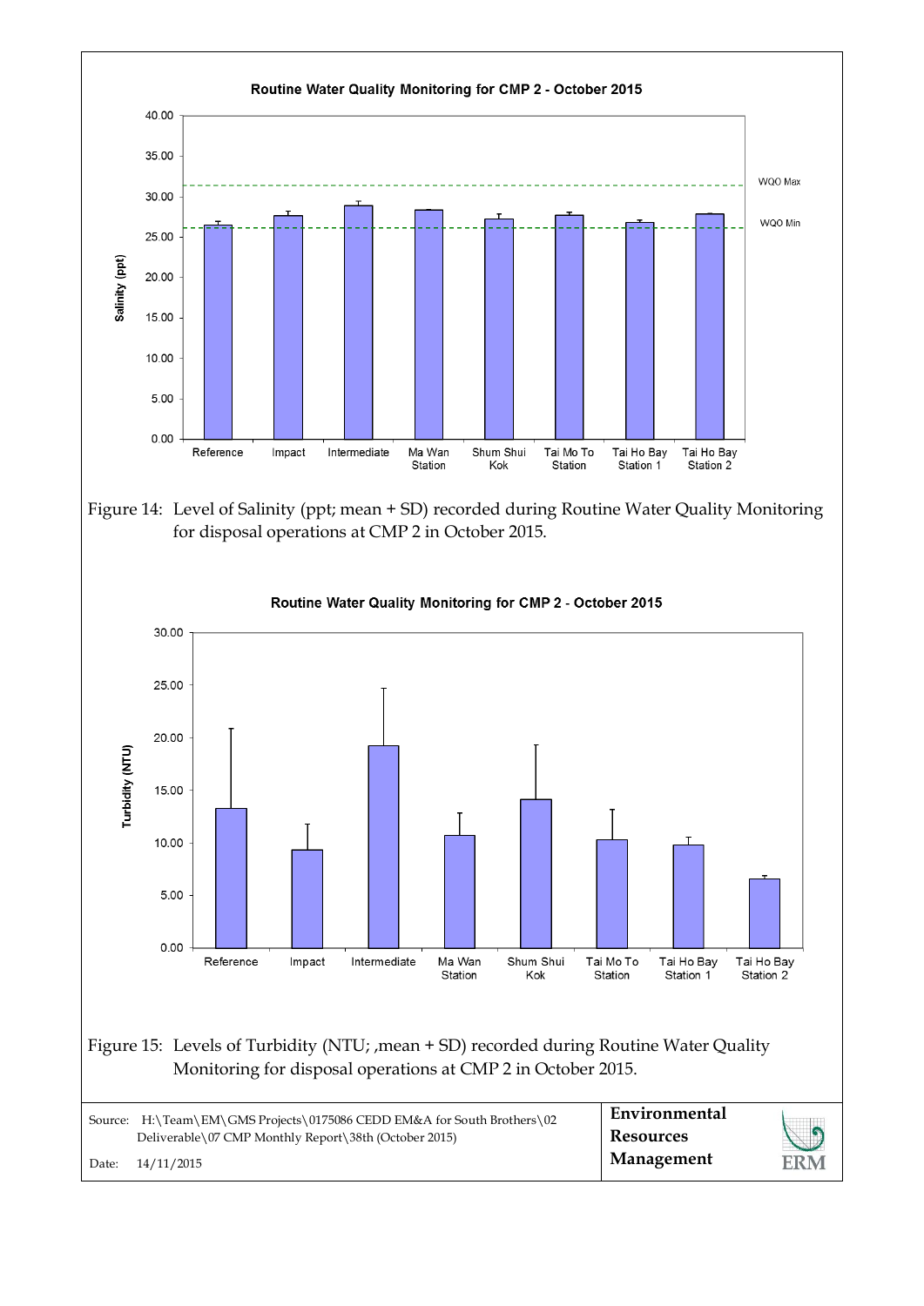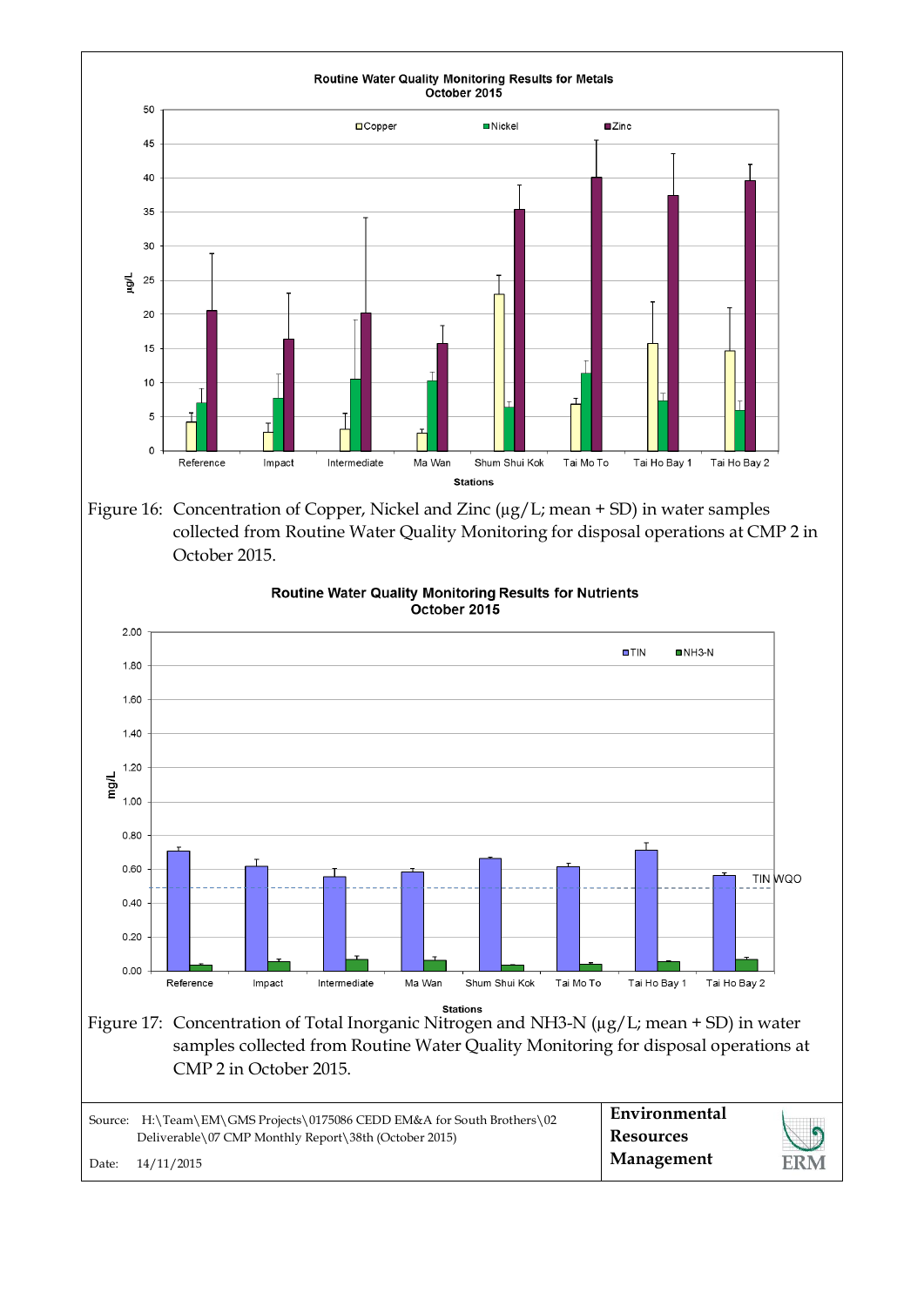